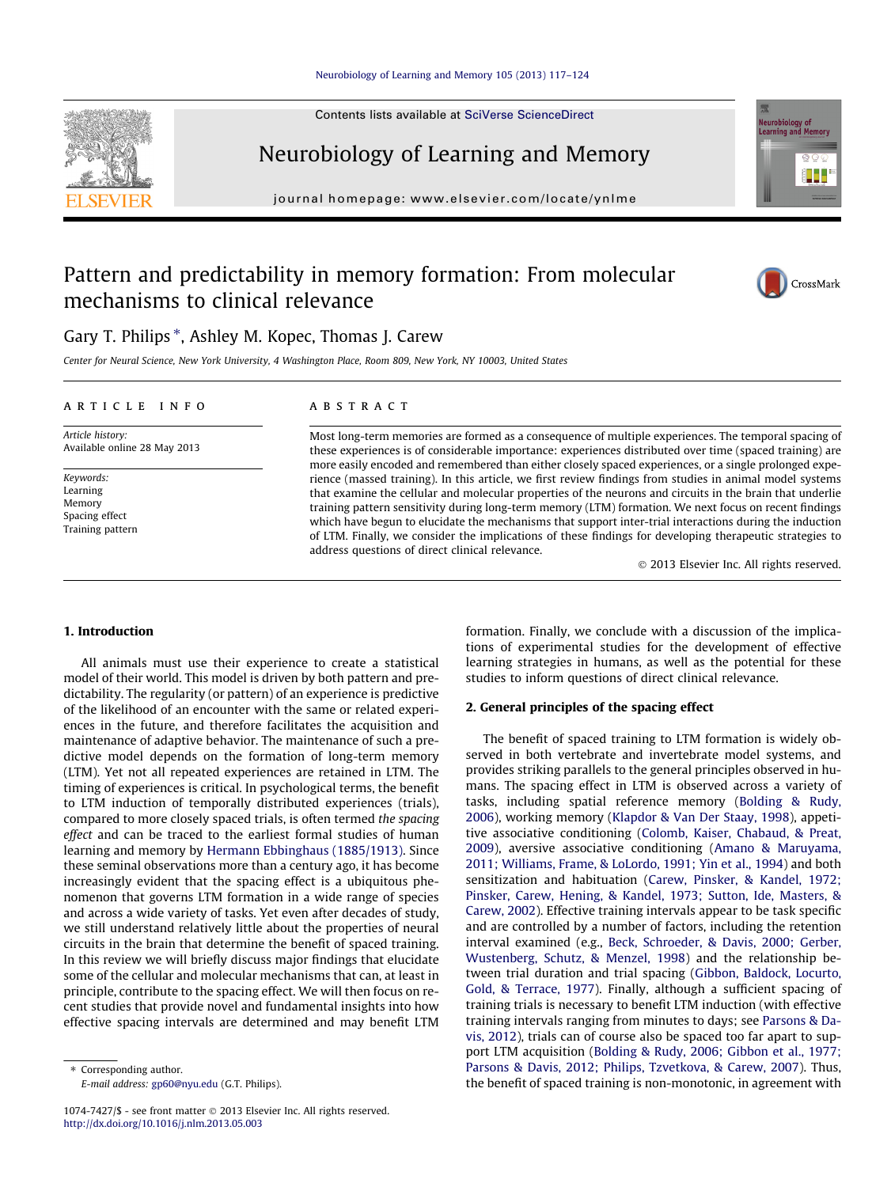## [Neurobiology of Learning and Memory 105 \(2013\) 117–124](http://dx.doi.org/10.1016/j.nlm.2013.05.003)

Contents lists available at [SciVerse ScienceDirect](http://www.sciencedirect.com/science/journal/10747427)

# Neurobiology of Learning and Memory

journal homepage: [www.elsevier.com/locate/ynlme](http://www.elsevier.com/locate/ynlme)

# Pattern and predictability in memory formation: From molecular mechanisms to clinical relevance



Center for Neural Science, New York University, 4 Washington Place, Room 809, New York, NY 10003, United States

#### article info

Article history: Available online 28 May 2013

Keywords: Learning Memory Spacing effect Training pattern

### **ABSTRACT**

Most long-term memories are formed as a consequence of multiple experiences. The temporal spacing of these experiences is of considerable importance: experiences distributed over time (spaced training) are more easily encoded and remembered than either closely spaced experiences, or a single prolonged experience (massed training). In this article, we first review findings from studies in animal model systems that examine the cellular and molecular properties of the neurons and circuits in the brain that underlie training pattern sensitivity during long-term memory (LTM) formation. We next focus on recent findings which have begun to elucidate the mechanisms that support inter-trial interactions during the induction of LTM. Finally, we consider the implications of these findings for developing therapeutic strategies to address questions of direct clinical relevance.

- 2013 Elsevier Inc. All rights reserved.

#### 1. Introduction

All animals must use their experience to create a statistical model of their world. This model is driven by both pattern and predictability. The regularity (or pattern) of an experience is predictive of the likelihood of an encounter with the same or related experiences in the future, and therefore facilitates the acquisition and maintenance of adaptive behavior. The maintenance of such a predictive model depends on the formation of long-term memory (LTM). Yet not all repeated experiences are retained in LTM. The timing of experiences is critical. In psychological terms, the benefit to LTM induction of temporally distributed experiences (trials), compared to more closely spaced trials, is often termed the spacing effect and can be traced to the earliest formal studies of human learning and memory by [Hermann Ebbinghaus \(1885/1913\)](#page-6-0). Since these seminal observations more than a century ago, it has become increasingly evident that the spacing effect is a ubiquitous phenomenon that governs LTM formation in a wide range of species and across a wide variety of tasks. Yet even after decades of study, we still understand relatively little about the properties of neural circuits in the brain that determine the benefit of spaced training. In this review we will briefly discuss major findings that elucidate some of the cellular and molecular mechanisms that can, at least in principle, contribute to the spacing effect. We will then focus on recent studies that provide novel and fundamental insights into how effective spacing intervals are determined and may benefit LTM formation. Finally, we conclude with a discussion of the implications of experimental studies for the development of effective learning strategies in humans, as well as the potential for these studies to inform questions of direct clinical relevance.

#### 2. General principles of the spacing effect

The benefit of spaced training to LTM formation is widely observed in both vertebrate and invertebrate model systems, and provides striking parallels to the general principles observed in humans. The spacing effect in LTM is observed across a variety of tasks, including spatial reference memory [\(Bolding & Rudy,](#page-5-0) [2006](#page-5-0)), working memory ([Klapdor & Van Der Staay, 1998\)](#page-6-0), appetitive associative conditioning [\(Colomb, Kaiser, Chabaud, & Preat,](#page-6-0) [2009](#page-6-0)), aversive associative conditioning ([Amano & Maruyama,](#page-5-0) [2011; Williams, Frame, & LoLordo, 1991; Yin et al., 1994\)](#page-5-0) and both sensitization and habituation ([Carew, Pinsker, & Kandel, 1972;](#page-5-0) [Pinsker, Carew, Hening, & Kandel, 1973; Sutton, Ide, Masters, &](#page-5-0) [Carew, 2002](#page-5-0)). Effective training intervals appear to be task specific and are controlled by a number of factors, including the retention interval examined (e.g., [Beck, Schroeder, & Davis, 2000; Gerber,](#page-5-0) [Wustenberg, Schutz, & Menzel, 1998](#page-5-0)) and the relationship between trial duration and trial spacing ([Gibbon, Baldock, Locurto,](#page-6-0) [Gold, & Terrace, 1977\)](#page-6-0). Finally, although a sufficient spacing of training trials is necessary to benefit LTM induction (with effective training intervals ranging from minutes to days; see [Parsons & Da](#page-7-0)[vis, 2012\)](#page-7-0), trials can of course also be spaced too far apart to support LTM acquisition [\(Bolding & Rudy, 2006; Gibbon et al., 1977;](#page-5-0) [Parsons & Davis, 2012; Philips, Tzvetkova, & Carew, 2007](#page-5-0)). Thus, the benefit of spaced training is non-monotonic, in agreement with







<sup>\*</sup> Corresponding author. E-mail address: [gp60@nyu.edu](mailto:gp60@nyu.edu) (G.T. Philips).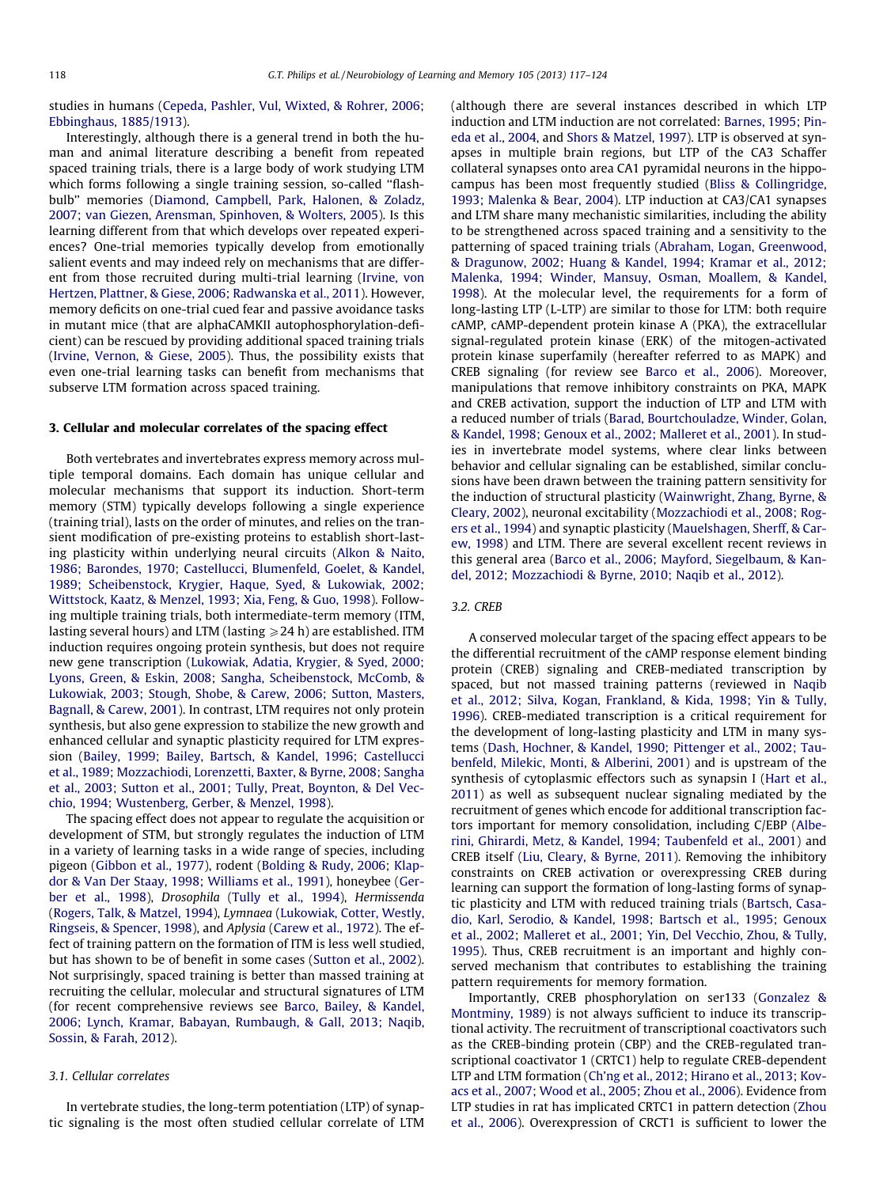studies in humans ([Cepeda, Pashler, Vul, Wixted, & Rohrer, 2006;](#page-5-0) [Ebbinghaus, 1885/1913\)](#page-5-0).

Interestingly, although there is a general trend in both the human and animal literature describing a benefit from repeated spaced training trials, there is a large body of work studying LTM which forms following a single training session, so-called ''flashbulb'' memories [\(Diamond, Campbell, Park, Halonen, & Zoladz,](#page-6-0) [2007; van Giezen, Arensman, Spinhoven, & Wolters, 2005\)](#page-6-0). Is this learning different from that which develops over repeated experiences? One-trial memories typically develop from emotionally salient events and may indeed rely on mechanisms that are different from those recruited during multi-trial learning [\(Irvine, von](#page-6-0) [Hertzen, Plattner, & Giese, 2006; Radwanska et al., 2011](#page-6-0)). However, memory deficits on one-trial cued fear and passive avoidance tasks in mutant mice (that are alphaCAMKII autophosphorylation-deficient) can be rescued by providing additional spaced training trials ([Irvine, Vernon, & Giese, 2005](#page-6-0)). Thus, the possibility exists that even one-trial learning tasks can benefit from mechanisms that subserve LTM formation across spaced training.

#### 3. Cellular and molecular correlates of the spacing effect

Both vertebrates and invertebrates express memory across multiple temporal domains. Each domain has unique cellular and molecular mechanisms that support its induction. Short-term memory (STM) typically develops following a single experience (training trial), lasts on the order of minutes, and relies on the transient modification of pre-existing proteins to establish short-lasting plasticity within underlying neural circuits [\(Alkon & Naito,](#page-5-0) [1986; Barondes, 1970; Castellucci, Blumenfeld, Goelet, & Kandel,](#page-5-0) [1989; Scheibenstock, Krygier, Haque, Syed, & Lukowiak, 2002;](#page-5-0) [Wittstock, Kaatz, & Menzel, 1993; Xia, Feng, & Guo, 1998\)](#page-5-0). Following multiple training trials, both intermediate-term memory (ITM, lasting several hours) and LTM (lasting  $\geqslant$  24 h) are established. ITM induction requires ongoing protein synthesis, but does not require new gene transcription ([Lukowiak, Adatia, Krygier, & Syed, 2000;](#page-6-0) [Lyons, Green, & Eskin, 2008; Sangha, Scheibenstock, McComb, &](#page-6-0) [Lukowiak, 2003; Stough, Shobe, & Carew, 2006; Sutton, Masters,](#page-6-0) [Bagnall, & Carew, 2001](#page-6-0)). In contrast, LTM requires not only protein synthesis, but also gene expression to stabilize the new growth and enhanced cellular and synaptic plasticity required for LTM expression ([Bailey, 1999; Bailey, Bartsch, & Kandel, 1996; Castellucci](#page-5-0) [et al., 1989; Mozzachiodi, Lorenzetti, Baxter, & Byrne, 2008; Sangha](#page-5-0) [et al., 2003; Sutton et al., 2001; Tully, Preat, Boynton, & Del Vec](#page-5-0)[chio, 1994; Wustenberg, Gerber, & Menzel, 1998](#page-5-0)).

The spacing effect does not appear to regulate the acquisition or development of STM, but strongly regulates the induction of LTM in a variety of learning tasks in a wide range of species, including pigeon [\(Gibbon et al., 1977\)](#page-6-0), rodent [\(Bolding & Rudy, 2006; Klap](#page-5-0)[dor & Van Der Staay, 1998; Williams et al., 1991](#page-5-0)), honeybee [\(Ger](#page-6-0)[ber et al., 1998\)](#page-6-0), Drosophila [\(Tully et al., 1994](#page-7-0)), Hermissenda ([Rogers, Talk, & Matzel, 1994](#page-7-0)), Lymnaea [\(Lukowiak, Cotter, Westly,](#page-6-0) [Ringseis, & Spencer, 1998\)](#page-6-0), and Aplysia [\(Carew et al., 1972](#page-5-0)). The effect of training pattern on the formation of ITM is less well studied, but has shown to be of benefit in some cases ([Sutton et al., 2002\)](#page-7-0). Not surprisingly, spaced training is better than massed training at recruiting the cellular, molecular and structural signatures of LTM (for recent comprehensive reviews see [Barco, Bailey, & Kandel,](#page-5-0) [2006; Lynch, Kramar, Babayan, Rumbaugh, & Gall, 2013; Naqib,](#page-5-0) [Sossin, & Farah, 2012\)](#page-5-0).

#### 3.1. Cellular correlates

In vertebrate studies, the long-term potentiation (LTP) of synaptic signaling is the most often studied cellular correlate of LTM (although there are several instances described in which LTP induction and LTM induction are not correlated: [Barnes, 1995; Pin](#page-5-0)[eda et al., 2004,](#page-5-0) and [Shors & Matzel, 1997](#page-7-0)). LTP is observed at synapses in multiple brain regions, but LTP of the CA3 Schaffer collateral synapses onto area CA1 pyramidal neurons in the hippocampus has been most frequently studied ([Bliss & Collingridge,](#page-5-0) [1993; Malenka & Bear, 2004](#page-5-0)). LTP induction at CA3/CA1 synapses and LTM share many mechanistic similarities, including the ability to be strengthened across spaced training and a sensitivity to the patterning of spaced training trials [\(Abraham, Logan, Greenwood,](#page-5-0) [& Dragunow, 2002; Huang & Kandel, 1994; Kramar et al., 2012;](#page-5-0) [Malenka, 1994; Winder, Mansuy, Osman, Moallem, & Kandel,](#page-5-0) [1998\)](#page-5-0). At the molecular level, the requirements for a form of long-lasting LTP (L-LTP) are similar to those for LTM: both require cAMP, cAMP-dependent protein kinase A (PKA), the extracellular signal-regulated protein kinase (ERK) of the mitogen-activated protein kinase superfamily (hereafter referred to as MAPK) and CREB signaling (for review see [Barco et al., 2006\)](#page-5-0). Moreover, manipulations that remove inhibitory constraints on PKA, MAPK and CREB activation, support the induction of LTP and LTM with a reduced number of trials [\(Barad, Bourtchouladze, Winder, Golan,](#page-5-0) [& Kandel, 1998; Genoux et al., 2002; Malleret et al., 2001](#page-5-0)). In studies in invertebrate model systems, where clear links between behavior and cellular signaling can be established, similar conclusions have been drawn between the training pattern sensitivity for the induction of structural plasticity ([Wainwright, Zhang, Byrne, &](#page-7-0) [Cleary, 2002](#page-7-0)), neuronal excitability ([Mozzachiodi et al., 2008; Rog](#page-6-0)[ers et al., 1994\)](#page-6-0) and synaptic plasticity ([Mauelshagen, Sherff, & Car](#page-6-0)[ew, 1998\)](#page-6-0) and LTM. There are several excellent recent reviews in this general area ([Barco et al., 2006; Mayford, Siegelbaum, & Kan](#page-5-0)[del, 2012; Mozzachiodi & Byrne, 2010; Naqib et al., 2012](#page-5-0)).

## 3.2. CREB

A conserved molecular target of the spacing effect appears to be the differential recruitment of the cAMP response element binding protein (CREB) signaling and CREB-mediated transcription by spaced, but not massed training patterns (reviewed in [Naqib](#page-7-0) [et al., 2012; Silva, Kogan, Frankland, & Kida, 1998; Yin & Tully,](#page-7-0) [1996\)](#page-7-0). CREB-mediated transcription is a critical requirement for the development of long-lasting plasticity and LTM in many systems [\(Dash, Hochner, & Kandel, 1990; Pittenger et al., 2002; Tau](#page-6-0)[benfeld, Milekic, Monti, & Alberini, 2001](#page-6-0)) and is upstream of the synthesis of cytoplasmic effectors such as synapsin I ([Hart et al.,](#page-6-0) [2011\)](#page-6-0) as well as subsequent nuclear signaling mediated by the recruitment of genes which encode for additional transcription factors important for memory consolidation, including C/EBP ([Albe](#page-5-0)[rini, Ghirardi, Metz, & Kandel, 1994; Taubenfeld et al., 2001\)](#page-5-0) and CREB itself ([Liu, Cleary, & Byrne, 2011](#page-6-0)). Removing the inhibitory constraints on CREB activation or overexpressing CREB during learning can support the formation of long-lasting forms of synaptic plasticity and LTM with reduced training trials [\(Bartsch, Casa](#page-5-0)[dio, Karl, Serodio, & Kandel, 1998; Bartsch et al., 1995; Genoux](#page-5-0) [et al., 2002; Malleret et al., 2001; Yin, Del Vecchio, Zhou, & Tully,](#page-5-0) [1995\)](#page-5-0). Thus, CREB recruitment is an important and highly conserved mechanism that contributes to establishing the training pattern requirements for memory formation.

Importantly, CREB phosphorylation on ser133 [\(Gonzalez &](#page-6-0) [Montminy, 1989](#page-6-0)) is not always sufficient to induce its transcriptional activity. The recruitment of transcriptional coactivators such as the CREB-binding protein (CBP) and the CREB-regulated transcriptional coactivator 1 (CRTC1) help to regulate CREB-dependent LTP and LTM formation ([Ch'ng et al., 2012; Hirano et al., 2013; Kov](#page-6-0)[acs et al., 2007; Wood et al., 2005; Zhou et al., 2006](#page-6-0)). Evidence from LTP studies in rat has implicated CRTC1 in pattern detection ([Zhou](#page-7-0) [et al., 2006\)](#page-7-0). Overexpression of CRCT1 is sufficient to lower the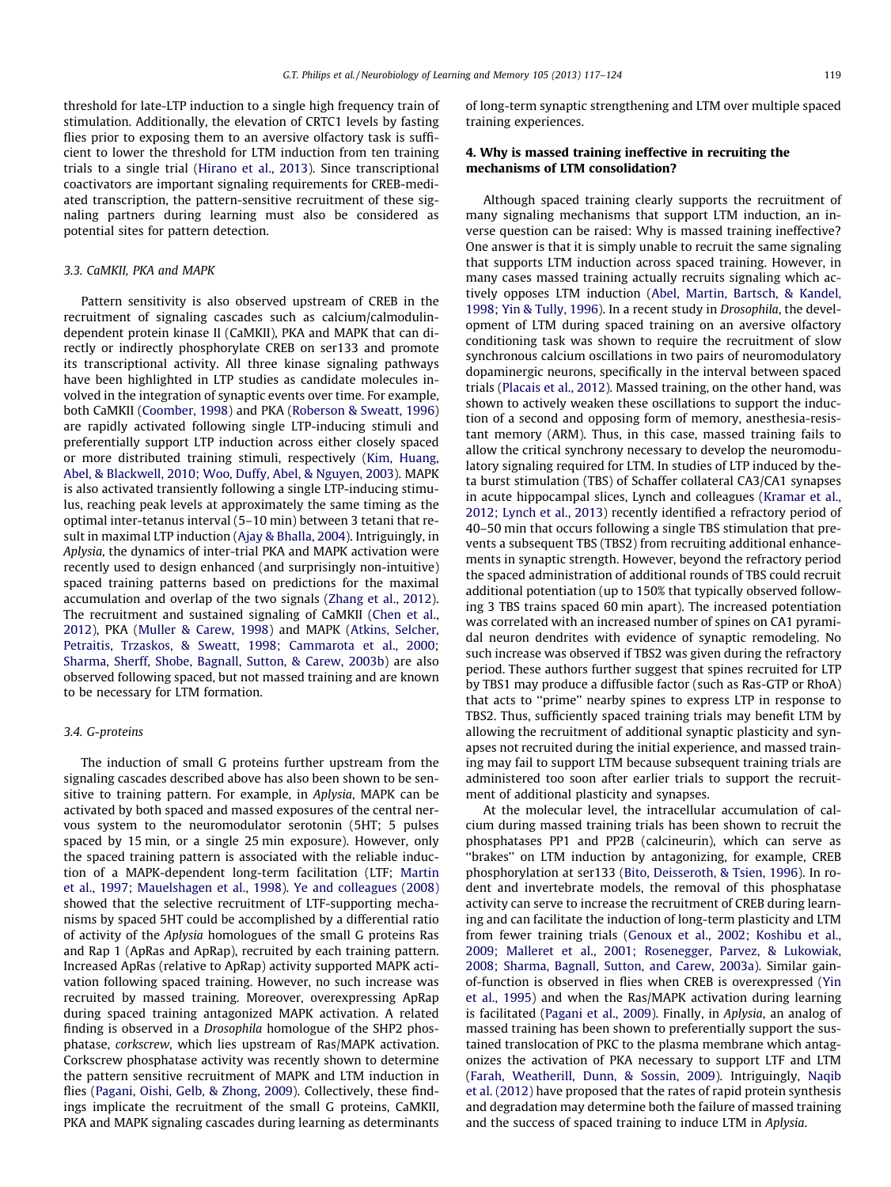threshold for late-LTP induction to a single high frequency train of stimulation. Additionally, the elevation of CRTC1 levels by fasting flies prior to exposing them to an aversive olfactory task is sufficient to lower the threshold for LTM induction from ten training trials to a single trial ([Hirano et al., 2013](#page-6-0)). Since transcriptional coactivators are important signaling requirements for CREB-mediated transcription, the pattern-sensitive recruitment of these signaling partners during learning must also be considered as potential sites for pattern detection.

# 3.3. CaMKII, PKA and MAPK

Pattern sensitivity is also observed upstream of CREB in the recruitment of signaling cascades such as calcium/calmodulindependent protein kinase II (CaMKII), PKA and MAPK that can directly or indirectly phosphorylate CREB on ser133 and promote its transcriptional activity. All three kinase signaling pathways have been highlighted in LTP studies as candidate molecules involved in the integration of synaptic events over time. For example, both CaMKII [\(Coomber, 1998\)](#page-6-0) and PKA [\(Roberson & Sweatt, 1996\)](#page-7-0) are rapidly activated following single LTP-inducing stimuli and preferentially support LTP induction across either closely spaced or more distributed training stimuli, respectively [\(Kim, Huang,](#page-6-0) [Abel, & Blackwell, 2010; Woo, Duffy, Abel, & Nguyen, 2003\)](#page-6-0). MAPK is also activated transiently following a single LTP-inducing stimulus, reaching peak levels at approximately the same timing as the optimal inter-tetanus interval (5–10 min) between 3 tetani that result in maximal LTP induction [\(Ajay & Bhalla, 2004](#page-5-0)). Intriguingly, in Aplysia, the dynamics of inter-trial PKA and MAPK activation were recently used to design enhanced (and surprisingly non-intuitive) spaced training patterns based on predictions for the maximal accumulation and overlap of the two signals ([Zhang et al., 2012\)](#page-7-0). The recruitment and sustained signaling of CaMKII [\(Chen et al.,](#page-5-0) [2012\)](#page-5-0), PKA [\(Muller & Carew, 1998\)](#page-6-0) and MAPK [\(Atkins, Selcher,](#page-5-0) [Petraitis, Trzaskos, & Sweatt, 1998; Cammarota et al., 2000;](#page-5-0) [Sharma, Sherff, Shobe, Bagnall, Sutton, & Carew, 2003b\)](#page-5-0) are also observed following spaced, but not massed training and are known to be necessary for LTM formation.

## 3.4. G-proteins

The induction of small G proteins further upstream from the signaling cascades described above has also been shown to be sensitive to training pattern. For example, in Aplysia, MAPK can be activated by both spaced and massed exposures of the central nervous system to the neuromodulator serotonin (5HT; 5 pulses spaced by 15 min, or a single 25 min exposure). However, only the spaced training pattern is associated with the reliable induction of a MAPK-dependent long-term facilitation (LTF; [Martin](#page-6-0) [et al., 1997; Mauelshagen et al., 1998](#page-6-0)). [Ye and colleagues \(2008\)](#page-7-0) showed that the selective recruitment of LTF-supporting mechanisms by spaced 5HT could be accomplished by a differential ratio of activity of the Aplysia homologues of the small G proteins Ras and Rap 1 (ApRas and ApRap), recruited by each training pattern. Increased ApRas (relative to ApRap) activity supported MAPK activation following spaced training. However, no such increase was recruited by massed training. Moreover, overexpressing ApRap during spaced training antagonized MAPK activation. A related finding is observed in a Drosophila homologue of the SHP2 phosphatase, corkscrew, which lies upstream of Ras/MAPK activation. Corkscrew phosphatase activity was recently shown to determine the pattern sensitive recruitment of MAPK and LTM induction in flies ([Pagani, Oishi, Gelb, & Zhong, 2009\)](#page-7-0). Collectively, these findings implicate the recruitment of the small G proteins, CaMKII, PKA and MAPK signaling cascades during learning as determinants of long-term synaptic strengthening and LTM over multiple spaced training experiences.

# 4. Why is massed training ineffective in recruiting the mechanisms of LTM consolidation?

Although spaced training clearly supports the recruitment of many signaling mechanisms that support LTM induction, an inverse question can be raised: Why is massed training ineffective? One answer is that it is simply unable to recruit the same signaling that supports LTM induction across spaced training. However, in many cases massed training actually recruits signaling which actively opposes LTM induction ([Abel, Martin, Bartsch, & Kandel,](#page-5-0) [1998; Yin & Tully, 1996](#page-5-0)). In a recent study in Drosophila, the development of LTM during spaced training on an aversive olfactory conditioning task was shown to require the recruitment of slow synchronous calcium oscillations in two pairs of neuromodulatory dopaminergic neurons, specifically in the interval between spaced trials ([Placais et al., 2012\)](#page-7-0). Massed training, on the other hand, was shown to actively weaken these oscillations to support the induction of a second and opposing form of memory, anesthesia-resistant memory (ARM). Thus, in this case, massed training fails to allow the critical synchrony necessary to develop the neuromodulatory signaling required for LTM. In studies of LTP induced by theta burst stimulation (TBS) of Schaffer collateral CA3/CA1 synapses in acute hippocampal slices, Lynch and colleagues ([Kramar et al.,](#page-6-0) [2012; Lynch et al., 2013](#page-6-0)) recently identified a refractory period of 40–50 min that occurs following a single TBS stimulation that prevents a subsequent TBS (TBS2) from recruiting additional enhancements in synaptic strength. However, beyond the refractory period the spaced administration of additional rounds of TBS could recruit additional potentiation (up to 150% that typically observed following 3 TBS trains spaced 60 min apart). The increased potentiation was correlated with an increased number of spines on CA1 pyramidal neuron dendrites with evidence of synaptic remodeling. No such increase was observed if TBS2 was given during the refractory period. These authors further suggest that spines recruited for LTP by TBS1 may produce a diffusible factor (such as Ras-GTP or RhoA) that acts to ''prime'' nearby spines to express LTP in response to TBS2. Thus, sufficiently spaced training trials may benefit LTM by allowing the recruitment of additional synaptic plasticity and synapses not recruited during the initial experience, and massed training may fail to support LTM because subsequent training trials are administered too soon after earlier trials to support the recruitment of additional plasticity and synapses.

At the molecular level, the intracellular accumulation of calcium during massed training trials has been shown to recruit the phosphatases PP1 and PP2B (calcineurin), which can serve as ''brakes'' on LTM induction by antagonizing, for example, CREB phosphorylation at ser133 [\(Bito, Deisseroth, & Tsien, 1996\)](#page-5-0). In rodent and invertebrate models, the removal of this phosphatase activity can serve to increase the recruitment of CREB during learning and can facilitate the induction of long-term plasticity and LTM from fewer training trials [\(Genoux et al., 2002; Koshibu et al.,](#page-6-0) [2009; Malleret et al., 2001; Rosenegger, Parvez, & Lukowiak,](#page-6-0) [2008; Sharma, Bagnall, Sutton, and Carew, 2003a](#page-6-0)). Similar gainof-function is observed in flies when CREB is overexpressed [\(Yin](#page-7-0) [et al., 1995](#page-7-0)) and when the Ras/MAPK activation during learning is facilitated ([Pagani et al., 2009\)](#page-7-0). Finally, in Aplysia, an analog of massed training has been shown to preferentially support the sustained translocation of PKC to the plasma membrane which antagonizes the activation of PKA necessary to support LTF and LTM ([Farah, Weatherill, Dunn, & Sossin, 2009](#page-6-0)). Intriguingly, [Naqib](#page-7-0) [et al. \(2012\)](#page-7-0) have proposed that the rates of rapid protein synthesis and degradation may determine both the failure of massed training and the success of spaced training to induce LTM in Aplysia.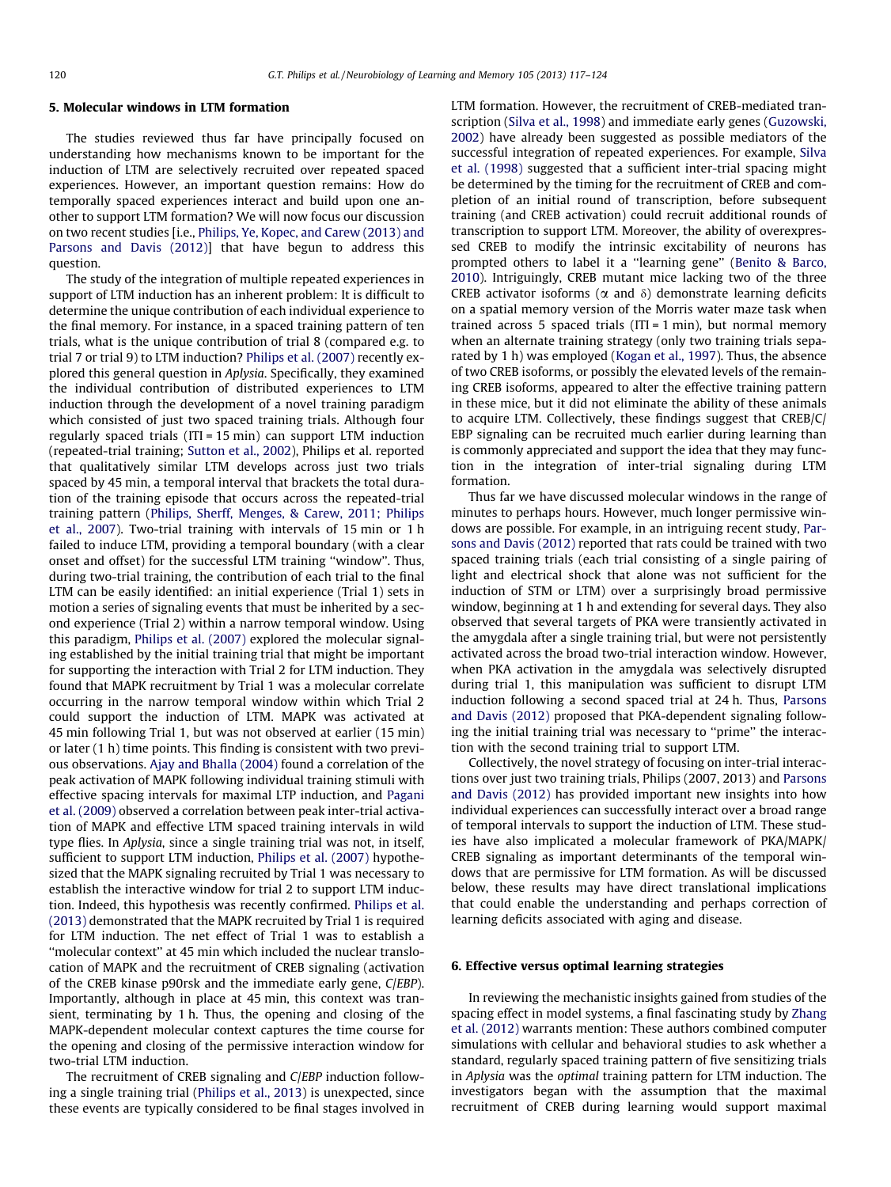## 5. Molecular windows in LTM formation

The studies reviewed thus far have principally focused on understanding how mechanisms known to be important for the induction of LTM are selectively recruited over repeated spaced experiences. However, an important question remains: How do temporally spaced experiences interact and build upon one another to support LTM formation? We will now focus our discussion on two recent studies [i.e., [Philips, Ye, Kopec, and Carew \(2013\) and](#page-7-0) [Parsons and Davis \(2012\)\]](#page-7-0) that have begun to address this question.

The study of the integration of multiple repeated experiences in support of LTM induction has an inherent problem: It is difficult to determine the unique contribution of each individual experience to the final memory. For instance, in a spaced training pattern of ten trials, what is the unique contribution of trial 8 (compared e.g. to trial 7 or trial 9) to LTM induction? [Philips et al. \(2007\)](#page-7-0) recently explored this general question in Aplysia. Specifically, they examined the individual contribution of distributed experiences to LTM induction through the development of a novel training paradigm which consisted of just two spaced training trials. Although four regularly spaced trials (ITI = 15 min) can support LTM induction (repeated-trial training; [Sutton et al., 2002\)](#page-7-0), Philips et al. reported that qualitatively similar LTM develops across just two trials spaced by 45 min, a temporal interval that brackets the total duration of the training episode that occurs across the repeated-trial training pattern ([Philips, Sherff, Menges, & Carew, 2011; Philips](#page-7-0) [et al., 2007\)](#page-7-0). Two-trial training with intervals of 15 min or 1 h failed to induce LTM, providing a temporal boundary (with a clear onset and offset) for the successful LTM training ''window''. Thus, during two-trial training, the contribution of each trial to the final LTM can be easily identified: an initial experience (Trial 1) sets in motion a series of signaling events that must be inherited by a second experience (Trial 2) within a narrow temporal window. Using this paradigm, [Philips et al. \(2007\)](#page-7-0) explored the molecular signaling established by the initial training trial that might be important for supporting the interaction with Trial 2 for LTM induction. They found that MAPK recruitment by Trial 1 was a molecular correlate occurring in the narrow temporal window within which Trial 2 could support the induction of LTM. MAPK was activated at 45 min following Trial 1, but was not observed at earlier (15 min) or later (1 h) time points. This finding is consistent with two previous observations. [Ajay and Bhalla \(2004\)](#page-5-0) found a correlation of the peak activation of MAPK following individual training stimuli with effective spacing intervals for maximal LTP induction, and [Pagani](#page-7-0) [et al. \(2009\)](#page-7-0) observed a correlation between peak inter-trial activation of MAPK and effective LTM spaced training intervals in wild type flies. In Aplysia, since a single training trial was not, in itself, sufficient to support LTM induction, [Philips et al. \(2007\)](#page-7-0) hypothesized that the MAPK signaling recruited by Trial 1 was necessary to establish the interactive window for trial 2 to support LTM induction. Indeed, this hypothesis was recently confirmed. [Philips et al.](#page-7-0) [\(2013\)](#page-7-0) demonstrated that the MAPK recruited by Trial 1 is required for LTM induction. The net effect of Trial 1 was to establish a ''molecular context'' at 45 min which included the nuclear translocation of MAPK and the recruitment of CREB signaling (activation of the CREB kinase p90rsk and the immediate early gene, C/EBP). Importantly, although in place at 45 min, this context was transient, terminating by 1 h. Thus, the opening and closing of the MAPK-dependent molecular context captures the time course for the opening and closing of the permissive interaction window for two-trial LTM induction.

The recruitment of CREB signaling and C/EBP induction following a single training trial [\(Philips et al., 2013](#page-7-0)) is unexpected, since these events are typically considered to be final stages involved in LTM formation. However, the recruitment of CREB-mediated transcription [\(Silva et al., 1998\)](#page-7-0) and immediate early genes ([Guzowski,](#page-6-0) [2002\)](#page-6-0) have already been suggested as possible mediators of the successful integration of repeated experiences. For example, [Silva](#page-7-0) [et al. \(1998\)](#page-7-0) suggested that a sufficient inter-trial spacing might be determined by the timing for the recruitment of CREB and completion of an initial round of transcription, before subsequent training (and CREB activation) could recruit additional rounds of transcription to support LTM. Moreover, the ability of overexpressed CREB to modify the intrinsic excitability of neurons has prompted others to label it a ''learning gene'' ([Benito & Barco,](#page-5-0) [2010\)](#page-5-0). Intriguingly, CREB mutant mice lacking two of the three CREB activator isoforms ( $\alpha$  and  $\delta$ ) demonstrate learning deficits on a spatial memory version of the Morris water maze task when trained across 5 spaced trials  $(ITI = 1 min)$ , but normal memory when an alternate training strategy (only two training trials separated by 1 h) was employed ([Kogan et al., 1997\)](#page-6-0). Thus, the absence of two CREB isoforms, or possibly the elevated levels of the remaining CREB isoforms, appeared to alter the effective training pattern in these mice, but it did not eliminate the ability of these animals to acquire LTM. Collectively, these findings suggest that CREB/C/ EBP signaling can be recruited much earlier during learning than is commonly appreciated and support the idea that they may function in the integration of inter-trial signaling during LTM formation.

Thus far we have discussed molecular windows in the range of minutes to perhaps hours. However, much longer permissive windows are possible. For example, in an intriguing recent study, [Par](#page-7-0)[sons and Davis \(2012\)](#page-7-0) reported that rats could be trained with two spaced training trials (each trial consisting of a single pairing of light and electrical shock that alone was not sufficient for the induction of STM or LTM) over a surprisingly broad permissive window, beginning at 1 h and extending for several days. They also observed that several targets of PKA were transiently activated in the amygdala after a single training trial, but were not persistently activated across the broad two-trial interaction window. However, when PKA activation in the amygdala was selectively disrupted during trial 1, this manipulation was sufficient to disrupt LTM induction following a second spaced trial at 24 h. Thus, [Parsons](#page-7-0) [and Davis \(2012\)](#page-7-0) proposed that PKA-dependent signaling following the initial training trial was necessary to ''prime'' the interaction with the second training trial to support LTM.

Collectively, the novel strategy of focusing on inter-trial interactions over just two training trials, Philips (2007, 2013) and [Parsons](#page-7-0) [and Davis \(2012\)](#page-7-0) has provided important new insights into how individual experiences can successfully interact over a broad range of temporal intervals to support the induction of LTM. These studies have also implicated a molecular framework of PKA/MAPK/ CREB signaling as important determinants of the temporal windows that are permissive for LTM formation. As will be discussed below, these results may have direct translational implications that could enable the understanding and perhaps correction of learning deficits associated with aging and disease.

#### 6. Effective versus optimal learning strategies

In reviewing the mechanistic insights gained from studies of the spacing effect in model systems, a final fascinating study by [Zhang](#page-7-0) [et al. \(2012\)](#page-7-0) warrants mention: These authors combined computer simulations with cellular and behavioral studies to ask whether a standard, regularly spaced training pattern of five sensitizing trials in Aplysia was the optimal training pattern for LTM induction. The investigators began with the assumption that the maximal recruitment of CREB during learning would support maximal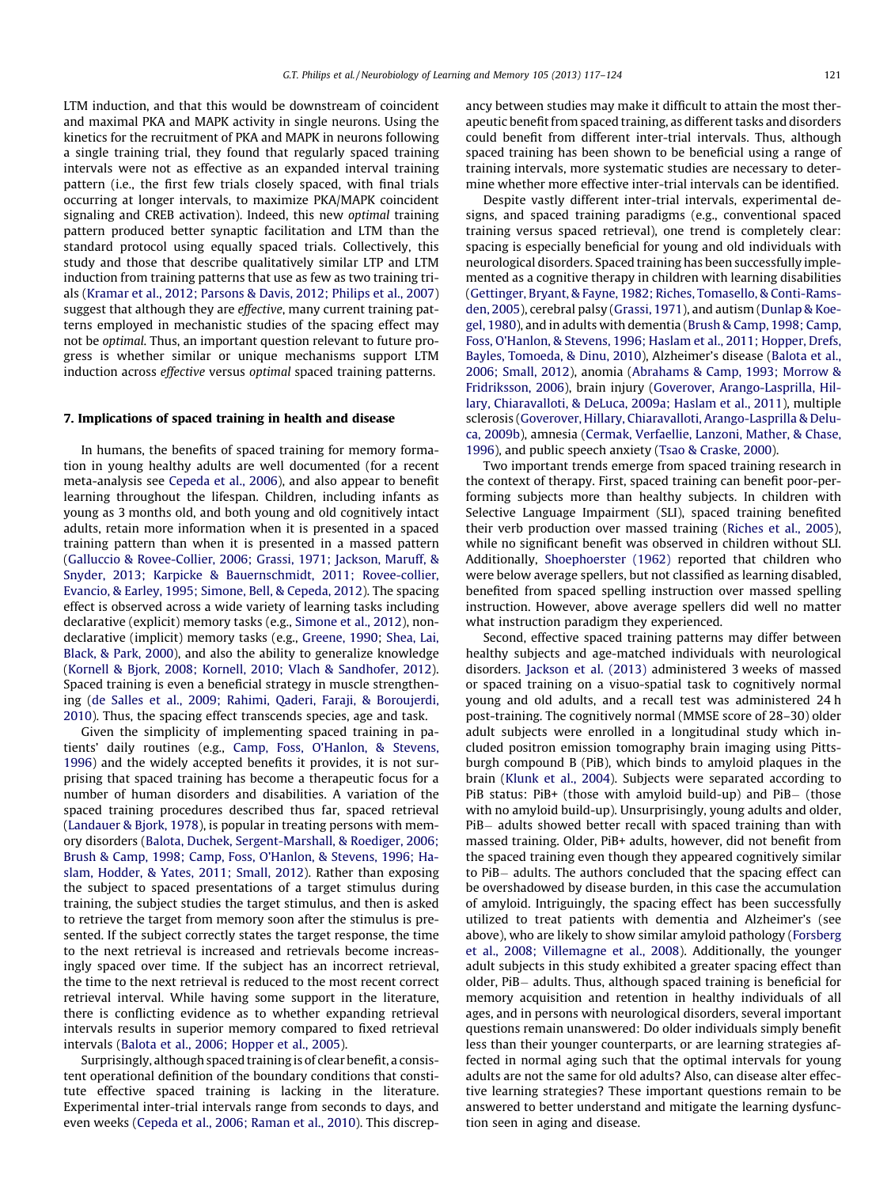LTM induction, and that this would be downstream of coincident and maximal PKA and MAPK activity in single neurons. Using the kinetics for the recruitment of PKA and MAPK in neurons following a single training trial, they found that regularly spaced training intervals were not as effective as an expanded interval training pattern (i.e., the first few trials closely spaced, with final trials occurring at longer intervals, to maximize PKA/MAPK coincident signaling and CREB activation). Indeed, this new optimal training pattern produced better synaptic facilitation and LTM than the standard protocol using equally spaced trials. Collectively, this study and those that describe qualitatively similar LTP and LTM induction from training patterns that use as few as two training trials [\(Kramar et al., 2012; Parsons & Davis, 2012; Philips et al., 2007\)](#page-6-0) suggest that although they are effective, many current training patterns employed in mechanistic studies of the spacing effect may not be optimal. Thus, an important question relevant to future progress is whether similar or unique mechanisms support LTM induction across effective versus optimal spaced training patterns.

# 7. Implications of spaced training in health and disease

In humans, the benefits of spaced training for memory formation in young healthy adults are well documented (for a recent meta-analysis see [Cepeda et al., 2006\)](#page-5-0), and also appear to benefit learning throughout the lifespan. Children, including infants as young as 3 months old, and both young and old cognitively intact adults, retain more information when it is presented in a spaced training pattern than when it is presented in a massed pattern ([Galluccio & Rovee-Collier, 2006; Grassi, 1971; Jackson, Maruff, &](#page-6-0) [Snyder, 2013; Karpicke & Bauernschmidt, 2011; Rovee-collier,](#page-6-0) [Evancio, & Earley, 1995; Simone, Bell, & Cepeda, 2012](#page-6-0)). The spacing effect is observed across a wide variety of learning tasks including declarative (explicit) memory tasks (e.g., [Simone et al., 2012\)](#page-7-0), nondeclarative (implicit) memory tasks (e.g., [Greene, 1990;](#page-6-0) [Shea, Lai,](#page-7-0) [Black, & Park, 2000\)](#page-7-0), and also the ability to generalize knowledge ([Kornell & Bjork, 2008; Kornell, 2010; Vlach & Sandhofer, 2012\)](#page-6-0). Spaced training is even a beneficial strategy in muscle strengthening [\(de Salles et al., 2009; Rahimi, Qaderi, Faraji, & Boroujerdi,](#page-6-0) [2010](#page-6-0)). Thus, the spacing effect transcends species, age and task.

Given the simplicity of implementing spaced training in patients' daily routines (e.g., [Camp, Foss, O'Hanlon, & Stevens,](#page-5-0) [1996\)](#page-5-0) and the widely accepted benefits it provides, it is not surprising that spaced training has become a therapeutic focus for a number of human disorders and disabilities. A variation of the spaced training procedures described thus far, spaced retrieval ([Landauer & Bjork, 1978\)](#page-6-0), is popular in treating persons with memory disorders [\(Balota, Duchek, Sergent-Marshall, & Roediger, 2006;](#page-5-0) [Brush & Camp, 1998; Camp, Foss, O'Hanlon, & Stevens, 1996; Ha](#page-5-0)[slam, Hodder, & Yates, 2011; Small, 2012](#page-5-0)). Rather than exposing the subject to spaced presentations of a target stimulus during training, the subject studies the target stimulus, and then is asked to retrieve the target from memory soon after the stimulus is presented. If the subject correctly states the target response, the time to the next retrieval is increased and retrievals become increasingly spaced over time. If the subject has an incorrect retrieval, the time to the next retrieval is reduced to the most recent correct retrieval interval. While having some support in the literature, there is conflicting evidence as to whether expanding retrieval intervals results in superior memory compared to fixed retrieval intervals [\(Balota et al., 2006; Hopper et al., 2005\)](#page-5-0).

Surprisingly, although spaced training is of clear benefit, a consistent operational definition of the boundary conditions that constitute effective spaced training is lacking in the literature. Experimental inter-trial intervals range from seconds to days, and even weeks ([Cepeda et al., 2006; Raman et al., 2010\)](#page-5-0). This discrepancy between studies may make it difficult to attain the most therapeutic benefit from spaced training, as different tasks and disorders could benefit from different inter-trial intervals. Thus, although spaced training has been shown to be beneficial using a range of training intervals, more systematic studies are necessary to determine whether more effective inter-trial intervals can be identified.

Despite vastly different inter-trial intervals, experimental designs, and spaced training paradigms (e.g., conventional spaced training versus spaced retrieval), one trend is completely clear: spacing is especially beneficial for young and old individuals with neurological disorders. Spaced training has been successfully implemented as a cognitive therapy in children with learning disabilities ([Gettinger, Bryant, & Fayne, 1982; Riches, Tomasello, & Conti-Rams](#page-6-0)[den, 2005\)](#page-6-0), cerebral palsy ([Grassi, 1971](#page-6-0)), and autism ([Dunlap & Koe](#page-6-0)[gel, 1980](#page-6-0)), and in adults with dementia [\(Brush & Camp, 1998; Camp,](#page-5-0) [Foss, O'Hanlon, & Stevens, 1996; Haslam et al., 2011; Hopper, Drefs,](#page-5-0) [Bayles, Tomoeda, & Dinu, 2010\)](#page-5-0), Alzheimer's disease [\(Balota et al.,](#page-5-0) [2006; Small, 2012\)](#page-5-0), anomia ([Abrahams & Camp, 1993; Morrow &](#page-5-0) [Fridriksson, 2006](#page-5-0)), brain injury [\(Goverover, Arango-Lasprilla, Hil](#page-6-0)[lary, Chiaravalloti, & DeLuca, 2009a; Haslam et al., 2011](#page-6-0)), multiple sclerosis [\(Goverover, Hillary, Chiaravalloti, Arango-Lasprilla & Delu](#page-6-0)[ca, 2009b\)](#page-6-0), amnesia ([Cermak, Verfaellie, Lanzoni, Mather, & Chase,](#page-5-0) [1996\)](#page-5-0), and public speech anxiety ([Tsao & Craske, 2000](#page-7-0)).

Two important trends emerge from spaced training research in the context of therapy. First, spaced training can benefit poor-performing subjects more than healthy subjects. In children with Selective Language Impairment (SLI), spaced training benefited their verb production over massed training [\(Riches et al., 2005\)](#page-7-0), while no significant benefit was observed in children without SLI. Additionally, [Shoephoerster \(1962\)](#page-7-0) reported that children who were below average spellers, but not classified as learning disabled, benefited from spaced spelling instruction over massed spelling instruction. However, above average spellers did well no matter what instruction paradigm they experienced.

Second, effective spaced training patterns may differ between healthy subjects and age-matched individuals with neurological disorders. [Jackson et al. \(2013\)](#page-6-0) administered 3 weeks of massed or spaced training on a visuo-spatial task to cognitively normal young and old adults, and a recall test was administered 24 h post-training. The cognitively normal (MMSE score of 28–30) older adult subjects were enrolled in a longitudinal study which included positron emission tomography brain imaging using Pittsburgh compound B (PiB), which binds to amyloid plaques in the brain [\(Klunk et al., 2004\)](#page-6-0). Subjects were separated according to PiB status: PiB+ (those with amyloid build-up) and PiB– (those with no amyloid build-up). Unsurprisingly, young adults and older, PiB- adults showed better recall with spaced training than with massed training. Older, PiB+ adults, however, did not benefit from the spaced training even though they appeared cognitively similar to PiB- adults. The authors concluded that the spacing effect can be overshadowed by disease burden, in this case the accumulation of amyloid. Intriguingly, the spacing effect has been successfully utilized to treat patients with dementia and Alzheimer's (see above), who are likely to show similar amyloid pathology [\(Forsberg](#page-6-0) [et al., 2008; Villemagne et al., 2008](#page-6-0)). Additionally, the younger adult subjects in this study exhibited a greater spacing effect than older, PiB- adults. Thus, although spaced training is beneficial for memory acquisition and retention in healthy individuals of all ages, and in persons with neurological disorders, several important questions remain unanswered: Do older individuals simply benefit less than their younger counterparts, or are learning strategies affected in normal aging such that the optimal intervals for young adults are not the same for old adults? Also, can disease alter effective learning strategies? These important questions remain to be answered to better understand and mitigate the learning dysfunction seen in aging and disease.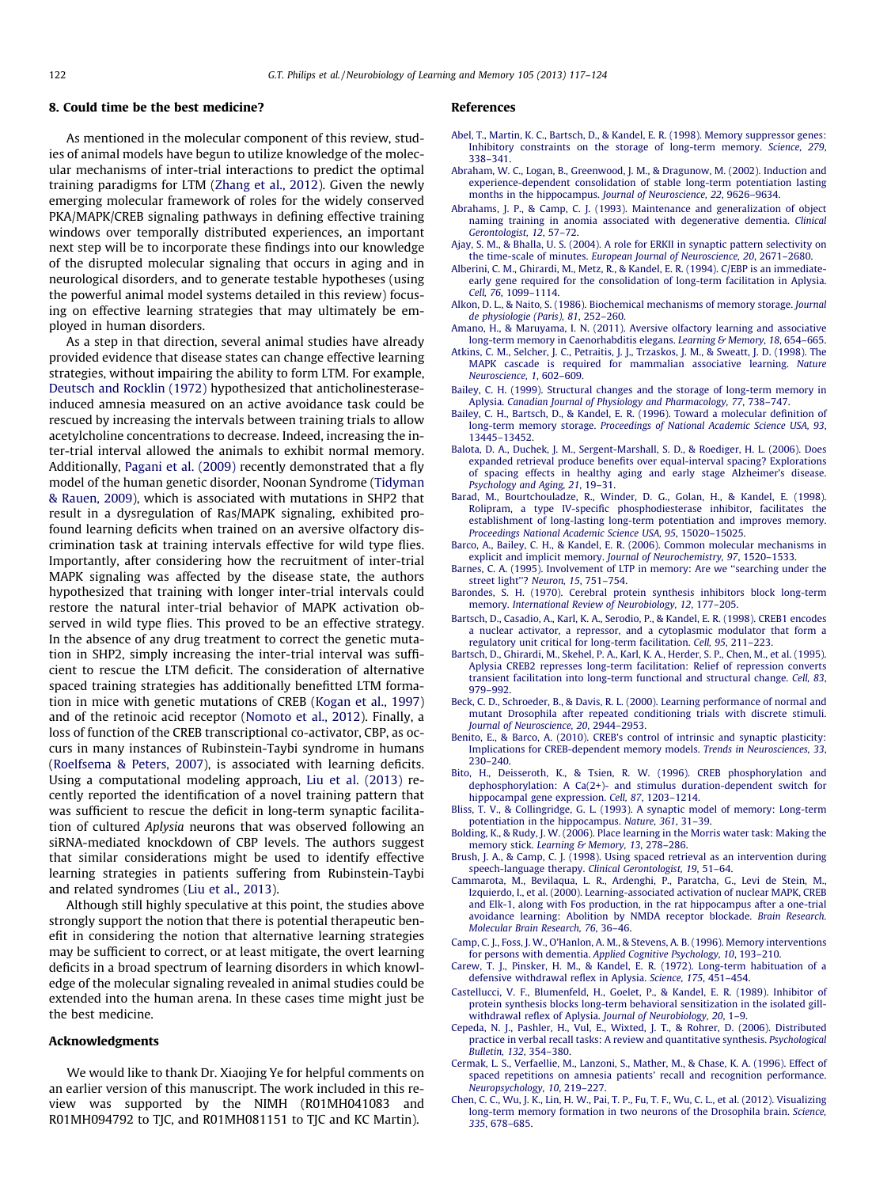## <span id="page-5-0"></span>8. Could time be the best medicine?

As mentioned in the molecular component of this review, studies of animal models have begun to utilize knowledge of the molecular mechanisms of inter-trial interactions to predict the optimal training paradigms for LTM [\(Zhang et al., 2012\)](#page-7-0). Given the newly emerging molecular framework of roles for the widely conserved PKA/MAPK/CREB signaling pathways in defining effective training windows over temporally distributed experiences, an important next step will be to incorporate these findings into our knowledge of the disrupted molecular signaling that occurs in aging and in neurological disorders, and to generate testable hypotheses (using the powerful animal model systems detailed in this review) focusing on effective learning strategies that may ultimately be employed in human disorders.

As a step in that direction, several animal studies have already provided evidence that disease states can change effective learning strategies, without impairing the ability to form LTM. For example, [Deutsch and Rocklin \(1972\)](#page-6-0) hypothesized that anticholinesteraseinduced amnesia measured on an active avoidance task could be rescued by increasing the intervals between training trials to allow acetylcholine concentrations to decrease. Indeed, increasing the inter-trial interval allowed the animals to exhibit normal memory. Additionally, [Pagani et al. \(2009\)](#page-7-0) recently demonstrated that a fly model of the human genetic disorder, Noonan Syndrome ([Tidyman](#page-7-0) [& Rauen, 2009](#page-7-0)), which is associated with mutations in SHP2 that result in a dysregulation of Ras/MAPK signaling, exhibited profound learning deficits when trained on an aversive olfactory discrimination task at training intervals effective for wild type flies. Importantly, after considering how the recruitment of inter-trial MAPK signaling was affected by the disease state, the authors hypothesized that training with longer inter-trial intervals could restore the natural inter-trial behavior of MAPK activation observed in wild type flies. This proved to be an effective strategy. In the absence of any drug treatment to correct the genetic mutation in SHP2, simply increasing the inter-trial interval was sufficient to rescue the LTM deficit. The consideration of alternative spaced training strategies has additionally benefitted LTM formation in mice with genetic mutations of CREB [\(Kogan et al., 1997\)](#page-6-0) and of the retinoic acid receptor [\(Nomoto et al., 2012](#page-7-0)). Finally, a loss of function of the CREB transcriptional co-activator, CBP, as occurs in many instances of Rubinstein-Taybi syndrome in humans ([Roelfsema & Peters, 2007](#page-7-0)), is associated with learning deficits. Using a computational modeling approach, [Liu et al. \(2013\)](#page-6-0) recently reported the identification of a novel training pattern that was sufficient to rescue the deficit in long-term synaptic facilitation of cultured Aplysia neurons that was observed following an siRNA-mediated knockdown of CBP levels. The authors suggest that similar considerations might be used to identify effective learning strategies in patients suffering from Rubinstein-Taybi and related syndromes ([Liu et al., 2013\)](#page-6-0).

Although still highly speculative at this point, the studies above strongly support the notion that there is potential therapeutic benefit in considering the notion that alternative learning strategies may be sufficient to correct, or at least mitigate, the overt learning deficits in a broad spectrum of learning disorders in which knowledge of the molecular signaling revealed in animal studies could be extended into the human arena. In these cases time might just be the best medicine.

# Acknowledgments

We would like to thank Dr. Xiaojing Ye for helpful comments on an earlier version of this manuscript. The work included in this review was supported by the NIMH (R01MH041083 and R01MH094792 to TJC, and R01MH081151 to TJC and KC Martin).

#### References

- [Abel, T., Martin, K. C., Bartsch, D., & Kandel, E. R. \(1998\). Memory suppressor genes:](http://refhub.elsevier.com/S1074-7427(13)00075-0/h0005) [Inhibitory constraints on the storage of long-term memory.](http://refhub.elsevier.com/S1074-7427(13)00075-0/h0005) Science, 279, [338–341](http://refhub.elsevier.com/S1074-7427(13)00075-0/h0005).
- [Abraham, W. C., Logan, B., Greenwood, J. M., & Dragunow, M. \(2002\). Induction and](http://refhub.elsevier.com/S1074-7427(13)00075-0/h0010) [experience-dependent consolidation of stable long-term potentiation lasting](http://refhub.elsevier.com/S1074-7427(13)00075-0/h0010) [months in the hippocampus.](http://refhub.elsevier.com/S1074-7427(13)00075-0/h0010) Journal of Neuroscience, 22, 9626–9634.
- [Abrahams, J. P., & Camp, C. J. \(1993\). Maintenance and generalization of object](http://refhub.elsevier.com/S1074-7427(13)00075-0/h0015) [naming training in anomia associated with degenerative dementia.](http://refhub.elsevier.com/S1074-7427(13)00075-0/h0015) Clinical [Gerontologist, 12](http://refhub.elsevier.com/S1074-7427(13)00075-0/h0015), 57–72.
- [Ajay, S. M., & Bhalla, U. S. \(2004\). A role for ERKII in synaptic pattern selectivity on](http://refhub.elsevier.com/S1074-7427(13)00075-0/h0020) the time-scale of minutes. [European Journal of Neuroscience, 20](http://refhub.elsevier.com/S1074-7427(13)00075-0/h0020), 2671–2680.
- [Alberini, C. M., Ghirardi, M., Metz, R., & Kandel, E. R. \(1994\). C/EBP is an immediate](http://refhub.elsevier.com/S1074-7427(13)00075-0/h0025)[early gene required for the consolidation of long-term facilitation in Aplysia.](http://refhub.elsevier.com/S1074-7427(13)00075-0/h0025) Cell, 76[, 1099–1114.](http://refhub.elsevier.com/S1074-7427(13)00075-0/h0025)
- [Alkon, D. L., & Naito, S. \(1986\). Biochemical mechanisms of memory storage.](http://refhub.elsevier.com/S1074-7427(13)00075-0/h0030) Journal [de physiologie \(Paris\), 81](http://refhub.elsevier.com/S1074-7427(13)00075-0/h0030), 252–260.
- [Amano, H., & Maruyama, I. N. \(2011\). Aversive olfactory learning and associative](http://refhub.elsevier.com/S1074-7427(13)00075-0/h0035) [long-term memory in Caenorhabditis elegans.](http://refhub.elsevier.com/S1074-7427(13)00075-0/h0035) Learning & Memory, 18, 654-665.
- [Atkins, C. M., Selcher, J. C., Petraitis, J. J., Trzaskos, J. M., & Sweatt, J. D. \(1998\). The](http://refhub.elsevier.com/S1074-7427(13)00075-0/h0040) [MAPK cascade is required for mammalian associative learning.](http://refhub.elsevier.com/S1074-7427(13)00075-0/h0040) Nature [Neuroscience, 1](http://refhub.elsevier.com/S1074-7427(13)00075-0/h0040), 602–609.
- [Bailey, C. H. \(1999\). Structural changes and the storage of long-term memory in](http://refhub.elsevier.com/S1074-7427(13)00075-0/h0045) Aplysia. [Canadian Journal of Physiology and Pharmacology, 77](http://refhub.elsevier.com/S1074-7427(13)00075-0/h0045), 738–747.
- [Bailey, C. H., Bartsch, D., & Kandel, E. R. \(1996\). Toward a molecular definition of](http://refhub.elsevier.com/S1074-7427(13)00075-0/h0050) long-term memory storage. [Proceedings of National Academic Science USA, 93](http://refhub.elsevier.com/S1074-7427(13)00075-0/h0050), [13445–13452.](http://refhub.elsevier.com/S1074-7427(13)00075-0/h0050)
- [Balota, D. A., Duchek, J. M., Sergent-Marshall, S. D., & Roediger, H. L. \(2006\). Does](http://refhub.elsevier.com/S1074-7427(13)00075-0/h0055) [expanded retrieval produce benefits over equal-interval spacing? Explorations](http://refhub.elsevier.com/S1074-7427(13)00075-0/h0055) [of spacing effects in healthy aging and early stage Alzheimer's disease.](http://refhub.elsevier.com/S1074-7427(13)00075-0/h0055) [Psychology and Aging, 21](http://refhub.elsevier.com/S1074-7427(13)00075-0/h0055), 19–31.
- [Barad, M., Bourtchouladze, R., Winder, D. G., Golan, H., & Kandel, E. \(1998\).](http://refhub.elsevier.com/S1074-7427(13)00075-0/h0060) [Rolipram, a type IV-specific phosphodiesterase inhibitor, facilitates the](http://refhub.elsevier.com/S1074-7427(13)00075-0/h0060) [establishment of long-lasting long-term potentiation and improves memory.](http://refhub.elsevier.com/S1074-7427(13)00075-0/h0060) [Proceedings National Academic Science USA, 95](http://refhub.elsevier.com/S1074-7427(13)00075-0/h0060), 15020–15025.
- [Barco, A., Bailey, C. H., & Kandel, E. R. \(2006\). Common molecular mechanisms in](http://refhub.elsevier.com/S1074-7427(13)00075-0/h0065) [explicit and implicit memory.](http://refhub.elsevier.com/S1074-7427(13)00075-0/h0065) Journal of Neurochemistry, 97, 1520–1533.
- [Barnes, C. A. \(1995\). Involvement of LTP in memory: Are we ''searching under the](http://refhub.elsevier.com/S1074-7427(13)00075-0/h0070) [street light''?](http://refhub.elsevier.com/S1074-7427(13)00075-0/h0070) Neuron, 15, 751–754.
- [Barondes, S. H. \(1970\). Cerebral protein synthesis inhibitors block long-term](http://refhub.elsevier.com/S1074-7427(13)00075-0/h0075) memory. [International Review of Neurobiology, 12](http://refhub.elsevier.com/S1074-7427(13)00075-0/h0075), 177–205.
- [Bartsch, D., Casadio, A., Karl, K. A., Serodio, P., & Kandel, E. R. \(1998\). CREB1 encodes](http://refhub.elsevier.com/S1074-7427(13)00075-0/h0080) [a nuclear activator, a repressor, and a cytoplasmic modulator that form a](http://refhub.elsevier.com/S1074-7427(13)00075-0/h0080) [regulatory unit critical for long-term facilitation.](http://refhub.elsevier.com/S1074-7427(13)00075-0/h0080) Cell, 95, 211–223.
- [Bartsch, D., Ghirardi, M., Skehel, P. A., Karl, K. A., Herder, S. P., Chen, M., et al. \(1995\).](http://refhub.elsevier.com/S1074-7427(13)00075-0/h0085) [Aplysia CREB2 represses long-term facilitation: Relief of repression converts](http://refhub.elsevier.com/S1074-7427(13)00075-0/h0085) [transient facilitation into long-term functional and structural change.](http://refhub.elsevier.com/S1074-7427(13)00075-0/h0085) Cell, 83, [979–992](http://refhub.elsevier.com/S1074-7427(13)00075-0/h0085).
- [Beck, C. D., Schroeder, B., & Davis, R. L. \(2000\). Learning performance of normal and](http://refhub.elsevier.com/S1074-7427(13)00075-0/h0090) [mutant Drosophila after repeated conditioning trials with discrete stimuli.](http://refhub.elsevier.com/S1074-7427(13)00075-0/h0090) [Journal of Neuroscience, 20](http://refhub.elsevier.com/S1074-7427(13)00075-0/h0090), 2944–2953.
- [Benito, E., & Barco, A. \(2010\). CREB's control of intrinsic and synaptic plasticity:](http://refhub.elsevier.com/S1074-7427(13)00075-0/h0095) [Implications for CREB-dependent memory models.](http://refhub.elsevier.com/S1074-7427(13)00075-0/h0095) Trends in Neurosciences, 33, [230–240](http://refhub.elsevier.com/S1074-7427(13)00075-0/h0095).
- [Bito, H., Deisseroth, K., & Tsien, R. W. \(1996\). CREB phosphorylation and](http://refhub.elsevier.com/S1074-7427(13)00075-0/h0100) [dephosphorylation: A Ca\(2+\)- and stimulus duration-dependent switch for](http://refhub.elsevier.com/S1074-7427(13)00075-0/h0100) [hippocampal gene expression.](http://refhub.elsevier.com/S1074-7427(13)00075-0/h0100) Cell, 87, 1203–1214.
- [Bliss, T. V., & Collingridge, G. L. \(1993\). A synaptic model of memory: Long-term](http://refhub.elsevier.com/S1074-7427(13)00075-0/h0105) [potentiation in the hippocampus.](http://refhub.elsevier.com/S1074-7427(13)00075-0/h0105) Nature, 361, 31–39.
- [Bolding, K., & Rudy, J. W. \(2006\). Place learning in the Morris water task: Making the](http://refhub.elsevier.com/S1074-7427(13)00075-0/h0110) memory stick. [Learning & Memory, 13](http://refhub.elsevier.com/S1074-7427(13)00075-0/h0110), 278-286.
- [Brush, J. A., & Camp, C. J. \(1998\). Using spaced retrieval as an intervention during](http://refhub.elsevier.com/S1074-7427(13)00075-0/h0115) [speech-language therapy.](http://refhub.elsevier.com/S1074-7427(13)00075-0/h0115) Clinical Gerontologist, 19, 51–64.
- [Cammarota, M., Bevilaqua, L. R., Ardenghi, P., Paratcha, G., Levi de Stein, M.,](http://refhub.elsevier.com/S1074-7427(13)00075-0/h0120) [Izquierdo, I., et al. \(2000\). Learning-associated activation of nuclear MAPK, CREB](http://refhub.elsevier.com/S1074-7427(13)00075-0/h0120) [and Elk-1, along with Fos production, in the rat hippocampus after a one-trial](http://refhub.elsevier.com/S1074-7427(13)00075-0/h0120) [avoidance learning: Abolition by NMDA receptor blockade.](http://refhub.elsevier.com/S1074-7427(13)00075-0/h0120) Brain Research. [Molecular Brain Research, 76](http://refhub.elsevier.com/S1074-7427(13)00075-0/h0120), 36–46.
- [Camp, C. J., Foss, J. W., O'Hanlon, A. M., & Stevens, A. B. \(1996\). Memory interventions](http://refhub.elsevier.com/S1074-7427(13)00075-0/h0125) for persons with dementia. [Applied Cognitive Psychology, 10](http://refhub.elsevier.com/S1074-7427(13)00075-0/h0125), 193–210.
- [Carew, T. J., Pinsker, H. M., & Kandel, E. R. \(1972\). Long-term habituation of a](http://refhub.elsevier.com/S1074-7427(13)00075-0/h0130) [defensive withdrawal reflex in Aplysia.](http://refhub.elsevier.com/S1074-7427(13)00075-0/h0130) Science, 175, 451–454.
- [Castellucci, V. F., Blumenfeld, H., Goelet, P., & Kandel, E. R. \(1989\). Inhibitor of](http://refhub.elsevier.com/S1074-7427(13)00075-0/h0135) [protein synthesis blocks long-term behavioral sensitization in the isolated gill](http://refhub.elsevier.com/S1074-7427(13)00075-0/h0135)[withdrawal reflex of Aplysia.](http://refhub.elsevier.com/S1074-7427(13)00075-0/h0135) Journal of Neurobiology, 20, 1–9.
- [Cepeda, N. J., Pashler, H., Vul, E., Wixted, J. T., & Rohrer, D. \(2006\). Distributed](http://refhub.elsevier.com/S1074-7427(13)00075-0/h0140) [practice in verbal recall tasks: A review and quantitative synthesis.](http://refhub.elsevier.com/S1074-7427(13)00075-0/h0140) Psychological [Bulletin, 132](http://refhub.elsevier.com/S1074-7427(13)00075-0/h0140), 354–380.
- [Cermak, L. S., Verfaellie, M., Lanzoni, S., Mather, M., & Chase, K. A. \(1996\). Effect of](http://refhub.elsevier.com/S1074-7427(13)00075-0/h0145) [spaced repetitions on amnesia patients' recall and recognition performance.](http://refhub.elsevier.com/S1074-7427(13)00075-0/h0145) [Neuropsychology, 10](http://refhub.elsevier.com/S1074-7427(13)00075-0/h0145), 219–227.
- [Chen, C. C., Wu, J. K., Lin, H. W., Pai, T. P., Fu, T. F., Wu, C. L., et al. \(2012\). Visualizing](http://refhub.elsevier.com/S1074-7427(13)00075-0/h0155) [long-term memory formation in two neurons of the Drosophila brain.](http://refhub.elsevier.com/S1074-7427(13)00075-0/h0155) Science, 335[, 678–685.](http://refhub.elsevier.com/S1074-7427(13)00075-0/h0155)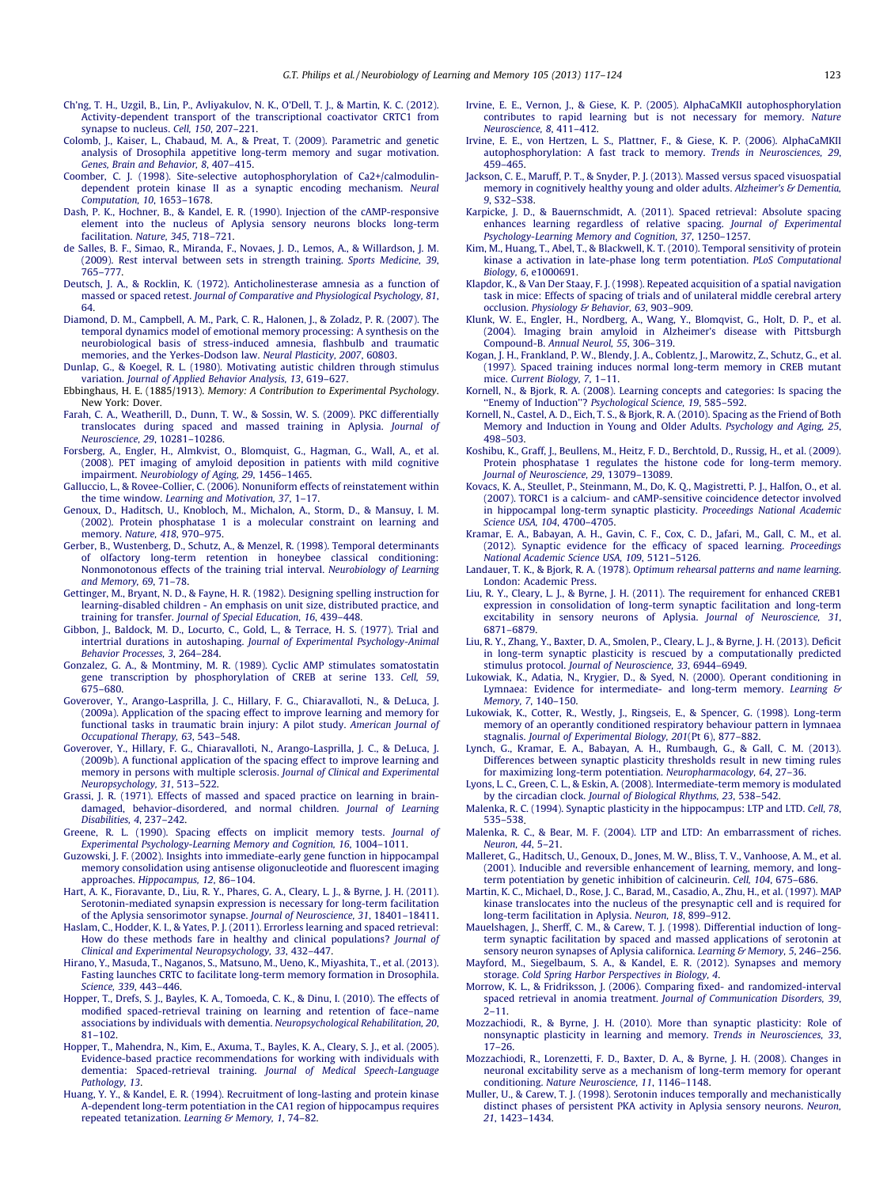- <span id="page-6-0"></span>[Ch'ng, T. H., Uzgil, B., Lin, P., Avliyakulov, N. K., O'Dell, T. J., & Martin, K. C. \(2012\).](http://refhub.elsevier.com/S1074-7427(13)00075-0/h0150) [Activity-dependent transport of the transcriptional coactivator CRTC1 from](http://refhub.elsevier.com/S1074-7427(13)00075-0/h0150) [synapse to nucleus.](http://refhub.elsevier.com/S1074-7427(13)00075-0/h0150) Cell, 150, 207–221.
- [Colomb, J., Kaiser, L., Chabaud, M. A., & Preat, T. \(2009\). Parametric and genetic](http://refhub.elsevier.com/S1074-7427(13)00075-0/h0160) [analysis of Drosophila appetitive long-term memory and sugar motivation.](http://refhub.elsevier.com/S1074-7427(13)00075-0/h0160) [Genes, Brain and Behavior, 8](http://refhub.elsevier.com/S1074-7427(13)00075-0/h0160), 407–415.
- [Coomber, C. J. \(1998\). Site-selective autophosphorylation of Ca2+/calmodulin](http://refhub.elsevier.com/S1074-7427(13)00075-0/h0165)[dependent protein kinase II as a synaptic encoding mechanism.](http://refhub.elsevier.com/S1074-7427(13)00075-0/h0165) Neural [Computation, 10](http://refhub.elsevier.com/S1074-7427(13)00075-0/h0165), 1653–1678.
- [Dash, P. K., Hochner, B., & Kandel, E. R. \(1990\). Injection of the cAMP-responsive](http://refhub.elsevier.com/S1074-7427(13)00075-0/h0170) [element into the nucleus of Aplysia sensory neurons blocks long-term](http://refhub.elsevier.com/S1074-7427(13)00075-0/h0170) facilitation. [Nature, 345](http://refhub.elsevier.com/S1074-7427(13)00075-0/h0170), 718–721.
- [de Salles, B. F., Simao, R., Miranda, F., Novaes, J. D., Lemos, A., & Willardson, J. M.](http://refhub.elsevier.com/S1074-7427(13)00075-0/h0175) [\(2009\). Rest interval between sets in strength training.](http://refhub.elsevier.com/S1074-7427(13)00075-0/h0175) Sports Medicine, 39, [765–777](http://refhub.elsevier.com/S1074-7427(13)00075-0/h0175).
- [Deutsch, J. A., & Rocklin, K. \(1972\). Anticholinesterase amnesia as a function of](http://refhub.elsevier.com/S1074-7427(13)00075-0/h0660) massed or spaced retest. [Journal of Comparative and Physiological Psychology, 81](http://refhub.elsevier.com/S1074-7427(13)00075-0/h0660), [64](http://refhub.elsevier.com/S1074-7427(13)00075-0/h0660).
- [Diamond, D. M., Campbell, A. M., Park, C. R., Halonen, J., & Zoladz, P. R. \(2007\). The](http://refhub.elsevier.com/S1074-7427(13)00075-0/h0180) [temporal dynamics model of emotional memory processing: A synthesis on the](http://refhub.elsevier.com/S1074-7427(13)00075-0/h0180) [neurobiological basis of stress-induced amnesia, flashbulb and traumatic](http://refhub.elsevier.com/S1074-7427(13)00075-0/h0180) [memories, and the Yerkes-Dodson law.](http://refhub.elsevier.com/S1074-7427(13)00075-0/h0180) Neural Plasticity, 2007, 60803.
- [Dunlap, G., & Koegel, R. L. \(1980\). Motivating autistic children through stimulus](http://refhub.elsevier.com/S1074-7427(13)00075-0/h0185) variation. [Journal of Applied Behavior Analysis, 13](http://refhub.elsevier.com/S1074-7427(13)00075-0/h0185), 619–627.
- Ebbinghaus, H. E. (1885/1913). Memory: A Contribution to Experimental Psychology. New York: Dover.
- [Farah, C. A., Weatherill, D., Dunn, T. W., & Sossin, W. S. \(2009\). PKC differentially](http://refhub.elsevier.com/S1074-7427(13)00075-0/h0190) [translocates during spaced and massed training in Aplysia.](http://refhub.elsevier.com/S1074-7427(13)00075-0/h0190) Journal of [Neuroscience, 29](http://refhub.elsevier.com/S1074-7427(13)00075-0/h0190), 10281–10286.
- [Forsberg, A., Engler, H., Almkvist, O., Blomquist, G., Hagman, G., Wall, A., et al.](http://refhub.elsevier.com/S1074-7427(13)00075-0/h0195) [\(2008\). PET imaging of amyloid deposition in patients with mild cognitive](http://refhub.elsevier.com/S1074-7427(13)00075-0/h0195) impairment. [Neurobiology of Aging, 29](http://refhub.elsevier.com/S1074-7427(13)00075-0/h0195), 1456–1465.
- [Galluccio, L., & Rovee-Collier, C. \(2006\). Nonuniform effects of reinstatement within](http://refhub.elsevier.com/S1074-7427(13)00075-0/h0200) the time window. [Learning and Motivation, 37](http://refhub.elsevier.com/S1074-7427(13)00075-0/h0200), 1–17.
- [Genoux, D., Haditsch, U., Knobloch, M., Michalon, A., Storm, D., & Mansuy, I. M.](http://refhub.elsevier.com/S1074-7427(13)00075-0/h0205) [\(2002\). Protein phosphatase 1 is a molecular constraint on learning and](http://refhub.elsevier.com/S1074-7427(13)00075-0/h0205) memory. [Nature, 418](http://refhub.elsevier.com/S1074-7427(13)00075-0/h0205), 970–975.
- [Gerber, B., Wustenberg, D., Schutz, A., & Menzel, R. \(1998\). Temporal determinants](http://refhub.elsevier.com/S1074-7427(13)00075-0/h0210) [of olfactory long-term retention in honeybee classical conditioning:](http://refhub.elsevier.com/S1074-7427(13)00075-0/h0210) [Nonmonotonous effects of the training trial interval.](http://refhub.elsevier.com/S1074-7427(13)00075-0/h0210) Neurobiology of Learning [and Memory, 69](http://refhub.elsevier.com/S1074-7427(13)00075-0/h0210), 71–78.
- [Gettinger, M., Bryant, N. D., & Fayne, H. R. \(1982\). Designing spelling instruction for](http://refhub.elsevier.com/S1074-7427(13)00075-0/h0215) [learning-disabled children - An emphasis on unit size, distributed practice, and](http://refhub.elsevier.com/S1074-7427(13)00075-0/h0215) training for transfer. [Journal of Special Education, 16](http://refhub.elsevier.com/S1074-7427(13)00075-0/h0215), 439–448.
- [Gibbon, J., Baldock, M. D., Locurto, C., Gold, L., & Terrace, H. S. \(1977\). Trial and](http://refhub.elsevier.com/S1074-7427(13)00075-0/h0220) intertrial durations in autoshaping. [Journal of Experimental Psychology-Animal](http://refhub.elsevier.com/S1074-7427(13)00075-0/h0220) [Behavior Processes, 3](http://refhub.elsevier.com/S1074-7427(13)00075-0/h0220), 264–284.
- [Gonzalez, G. A., & Montminy, M. R. \(1989\). Cyclic AMP stimulates somatostatin](http://refhub.elsevier.com/S1074-7427(13)00075-0/h0225) [gene transcription by phosphorylation of CREB at serine 133.](http://refhub.elsevier.com/S1074-7427(13)00075-0/h0225) Cell, 59, [675–680](http://refhub.elsevier.com/S1074-7427(13)00075-0/h0225).
- [Goverover, Y., Arango-Lasprilla, J. C., Hillary, F. G., Chiaravalloti, N., & DeLuca, J.](http://refhub.elsevier.com/S1074-7427(13)00075-0/h0230) [\(2009a\). Application of the spacing effect to improve learning and memory for](http://refhub.elsevier.com/S1074-7427(13)00075-0/h0230) [functional tasks in traumatic brain injury: A pilot study.](http://refhub.elsevier.com/S1074-7427(13)00075-0/h0230) American Journal of
- [Occupational Therapy, 63](http://refhub.elsevier.com/S1074-7427(13)00075-0/h0230), 543–548. [Goverover, Y., Hillary, F. G., Chiaravalloti, N., Arango-Lasprilla, J. C., & DeLuca, J.](http://refhub.elsevier.com/S1074-7427(13)00075-0/h0235) [\(2009b\). A functional application of the spacing effect to improve learning and](http://refhub.elsevier.com/S1074-7427(13)00075-0/h0235) [memory in persons with multiple sclerosis.](http://refhub.elsevier.com/S1074-7427(13)00075-0/h0235) Journal of Clinical and Experimental [Neuropsychology, 31](http://refhub.elsevier.com/S1074-7427(13)00075-0/h0235), 513–522.
- [Grassi, J. R. \(1971\). Effects of massed and spaced practice on learning in brain](http://refhub.elsevier.com/S1074-7427(13)00075-0/h0240)[damaged, behavior-disordered, and normal children.](http://refhub.elsevier.com/S1074-7427(13)00075-0/h0240) Journal of Learning [Disabilities, 4](http://refhub.elsevier.com/S1074-7427(13)00075-0/h0240), 237–242.
- [Greene, R. L. \(1990\). Spacing effects on implicit memory tests.](http://refhub.elsevier.com/S1074-7427(13)00075-0/h0245) Journal of [Experimental Psychology-Learning Memory and Cognition, 16](http://refhub.elsevier.com/S1074-7427(13)00075-0/h0245), 1004–1011.
- [Guzowski, J. F. \(2002\). Insights into immediate-early gene function in hippocampal](http://refhub.elsevier.com/S1074-7427(13)00075-0/h0250) [memory consolidation using antisense oligonucleotide and fluorescent imaging](http://refhub.elsevier.com/S1074-7427(13)00075-0/h0250) approaches. [Hippocampus, 12](http://refhub.elsevier.com/S1074-7427(13)00075-0/h0250), 86–104.
- [Hart, A. K., Fioravante, D., Liu, R. Y., Phares, G. A., Cleary, L. J., & Byrne, J. H. \(2011\).](http://refhub.elsevier.com/S1074-7427(13)00075-0/h0255) [Serotonin-mediated synapsin expression is necessary for long-term facilitation](http://refhub.elsevier.com/S1074-7427(13)00075-0/h0255) [of the Aplysia sensorimotor synapse.](http://refhub.elsevier.com/S1074-7427(13)00075-0/h0255) Journal of Neuroscience, 31, 18401–18411.
- [Haslam, C., Hodder, K. I., & Yates, P. J. \(2011\). Errorless learning and spaced retrieval:](http://refhub.elsevier.com/S1074-7427(13)00075-0/h0260) [How do these methods fare in healthy and clinical populations?](http://refhub.elsevier.com/S1074-7427(13)00075-0/h0260) Journal of [Clinical and Experimental Neuropsychology, 33](http://refhub.elsevier.com/S1074-7427(13)00075-0/h0260), 432–447.
- [Hirano, Y., Masuda, T., Naganos, S., Matsuno, M., Ueno, K., Miyashita, T., et al. \(2013\).](http://refhub.elsevier.com/S1074-7427(13)00075-0/h0265) [Fasting launches CRTC to facilitate long-term memory formation in Drosophila.](http://refhub.elsevier.com/S1074-7427(13)00075-0/h0265) [Science, 339](http://refhub.elsevier.com/S1074-7427(13)00075-0/h0265), 443–446.
- [Hopper, T., Drefs, S. J., Bayles, K. A., Tomoeda, C. K., & Dinu, I. \(2010\). The effects of](http://refhub.elsevier.com/S1074-7427(13)00075-0/h0270) [modified spaced-retrieval training on learning and retention of face–name](http://refhub.elsevier.com/S1074-7427(13)00075-0/h0270) [associations by individuals with dementia.](http://refhub.elsevier.com/S1074-7427(13)00075-0/h0270) Neuropsychological Rehabilitation, 20, [81–102](http://refhub.elsevier.com/S1074-7427(13)00075-0/h0270).
- [Hopper, T., Mahendra, N., Kim, E., Axuma, T., Bayles, K. A., Cleary, S. J., et al. \(2005\).](http://refhub.elsevier.com/S1074-7427(13)00075-0/h0665) [Evidence-based practice recommendations for working with individuals with](http://refhub.elsevier.com/S1074-7427(13)00075-0/h0665) [dementia: Spaced-retrieval training.](http://refhub.elsevier.com/S1074-7427(13)00075-0/h0665) Journal of Medical Speech-Language [Pathology, 13](http://refhub.elsevier.com/S1074-7427(13)00075-0/h0665).
- [Huang, Y. Y., & Kandel, E. R. \(1994\). Recruitment of long-lasting and protein kinase](http://refhub.elsevier.com/S1074-7427(13)00075-0/h0275) [A-dependent long-term potentiation in the CA1 region of hippocampus requires](http://refhub.elsevier.com/S1074-7427(13)00075-0/h0275) [repeated tetanization.](http://refhub.elsevier.com/S1074-7427(13)00075-0/h0275) Learning & Memory, 1, 74-82.
- [Irvine, E. E., Vernon, J., & Giese, K. P. \(2005\). AlphaCaMKII autophosphorylation](http://refhub.elsevier.com/S1074-7427(13)00075-0/h0280) [contributes to rapid learning but is not necessary for memory.](http://refhub.elsevier.com/S1074-7427(13)00075-0/h0280) Nature [Neuroscience, 8](http://refhub.elsevier.com/S1074-7427(13)00075-0/h0280), 411–412.
- [Irvine, E. E., von Hertzen, L. S., Plattner, F., & Giese, K. P. \(2006\). AlphaCaMKII](http://refhub.elsevier.com/S1074-7427(13)00075-0/h0285) [autophosphorylation: A fast track to memory.](http://refhub.elsevier.com/S1074-7427(13)00075-0/h0285) Trends in Neurosciences, 29, [459–465](http://refhub.elsevier.com/S1074-7427(13)00075-0/h0285).
- [Jackson, C. E., Maruff, P. T., & Snyder, P. J. \(2013\). Massed versus spaced visuospatial](http://refhub.elsevier.com/S1074-7427(13)00075-0/h0290) [memory in cognitively healthy young and older adults.](http://refhub.elsevier.com/S1074-7427(13)00075-0/h0290) Alzheimer's & Dementia, 9[, S32–S38.](http://refhub.elsevier.com/S1074-7427(13)00075-0/h0290)
- [Karpicke, J. D., & Bauernschmidt, A. \(2011\). Spaced retrieval: Absolute spacing](http://refhub.elsevier.com/S1074-7427(13)00075-0/h0300) [enhances learning regardless of relative spacing.](http://refhub.elsevier.com/S1074-7427(13)00075-0/h0300) Journal of Experimental [Psychology-Learning Memory and Cognition, 37](http://refhub.elsevier.com/S1074-7427(13)00075-0/h0300), 1250–1257.
- [Kim, M., Huang, T., Abel, T., & Blackwell, K. T. \(2010\). Temporal sensitivity of protein](http://refhub.elsevier.com/S1074-7427(13)00075-0/h0305) [kinase a activation in late-phase long term potentiation.](http://refhub.elsevier.com/S1074-7427(13)00075-0/h0305) PLoS Computational Biology, 6[, e1000691](http://refhub.elsevier.com/S1074-7427(13)00075-0/h0305).
- [Klapdor, K., & Van Der Staay, F. J. \(1998\). Repeated acquisition of a spatial navigation](http://refhub.elsevier.com/S1074-7427(13)00075-0/h0310) [task in mice: Effects of spacing of trials and of unilateral middle cerebral artery](http://refhub.elsevier.com/S1074-7427(13)00075-0/h0310) occlusion. [Physiology & Behavior, 63](http://refhub.elsevier.com/S1074-7427(13)00075-0/h0310), 903–909.
- [Klunk, W. E., Engler, H., Nordberg, A., Wang, Y., Blomqvist, G., Holt, D. P., et al.](http://refhub.elsevier.com/S1074-7427(13)00075-0/h0315) [\(2004\). Imaging brain amyloid in Alzheimer's disease with Pittsburgh](http://refhub.elsevier.com/S1074-7427(13)00075-0/h0315) Compound-B. [Annual Neurol, 55](http://refhub.elsevier.com/S1074-7427(13)00075-0/h0315), 306–319.
- [Kogan, J. H., Frankland, P. W., Blendy, J. A., Coblentz, J., Marowitz, Z., Schutz, G., et al.](http://refhub.elsevier.com/S1074-7427(13)00075-0/h0320) [\(1997\). Spaced training induces normal long-term memory in CREB mutant](http://refhub.elsevier.com/S1074-7427(13)00075-0/h0320) mice. [Current Biology, 7](http://refhub.elsevier.com/S1074-7427(13)00075-0/h0320), 1–11.
- [Kornell, N., & Bjork, R. A. \(2008\). Learning concepts and categories: Is spacing the](http://refhub.elsevier.com/S1074-7427(13)00075-0/h0700) ''Enemy of Induction''? [Psychological Science, 19](http://refhub.elsevier.com/S1074-7427(13)00075-0/h0700), 585–592.
- [Kornell, N., Castel, A. D., Eich, T. S., & Bjork, R. A. \(2010\). Spacing as the Friend of Both](http://refhub.elsevier.com/S1074-7427(13)00075-0/h0705) [Memory and Induction in Young and Older Adults.](http://refhub.elsevier.com/S1074-7427(13)00075-0/h0705) Psychology and Aging, 25, [498–503](http://refhub.elsevier.com/S1074-7427(13)00075-0/h0705).
- [Koshibu, K., Graff, J., Beullens, M., Heitz, F. D., Berchtold, D., Russig, H., et al. \(2009\).](http://refhub.elsevier.com/S1074-7427(13)00075-0/h0325) [Protein phosphatase 1 regulates the histone code for long-term memory.](http://refhub.elsevier.com/S1074-7427(13)00075-0/h0325) [Journal of Neuroscience, 29](http://refhub.elsevier.com/S1074-7427(13)00075-0/h0325), 13079–13089.
- [Kovacs, K. A., Steullet, P., Steinmann, M., Do, K. Q., Magistretti, P. J., Halfon, O., et al.](http://refhub.elsevier.com/S1074-7427(13)00075-0/h0330) [\(2007\). TORC1 is a calcium- and cAMP-sensitive coincidence detector involved](http://refhub.elsevier.com/S1074-7427(13)00075-0/h0330) [in hippocampal long-term synaptic plasticity.](http://refhub.elsevier.com/S1074-7427(13)00075-0/h0330) Proceedings National Academic [Science USA, 104](http://refhub.elsevier.com/S1074-7427(13)00075-0/h0330), 4700–4705.
- [Kramar, E. A., Babayan, A. H., Gavin, C. F., Cox, C. D., Jafari, M., Gall, C. M., et al.](http://refhub.elsevier.com/S1074-7427(13)00075-0/h0335) [\(2012\). Synaptic evidence for the efficacy of spaced learning.](http://refhub.elsevier.com/S1074-7427(13)00075-0/h0335) Proceedings [National Academic Science USA, 109](http://refhub.elsevier.com/S1074-7427(13)00075-0/h0335), 5121–5126.
- Landauer, T. K., & Bjork, R. A. (1978). [Optimum rehearsal patterns and name learning](http://refhub.elsevier.com/S1074-7427(13)00075-0/h0340). [London: Academic Press](http://refhub.elsevier.com/S1074-7427(13)00075-0/h0340).
- [Liu, R. Y., Cleary, L. J., & Byrne, J. H. \(2011\). The requirement for enhanced CREB1](http://refhub.elsevier.com/S1074-7427(13)00075-0/h0345) [expression in consolidation of long-term synaptic facilitation and long-term](http://refhub.elsevier.com/S1074-7427(13)00075-0/h0345) [excitability in sensory neurons of Aplysia.](http://refhub.elsevier.com/S1074-7427(13)00075-0/h0345) Journal of Neuroscience, 31, [6871–6879.](http://refhub.elsevier.com/S1074-7427(13)00075-0/h0345)
- [Liu, R. Y., Zhang, Y., Baxter, D. A., Smolen, P., Cleary, L. J., & Byrne, J. H. \(2013\). Deficit](http://refhub.elsevier.com/S1074-7427(13)00075-0/h0350) [in long-term synaptic plasticity is rescued by a computationally predicted](http://refhub.elsevier.com/S1074-7427(13)00075-0/h0350) stimulus protocol. [Journal of Neuroscience, 33](http://refhub.elsevier.com/S1074-7427(13)00075-0/h0350), 6944–6949.
- [Lukowiak, K., Adatia, N., Krygier, D., & Syed, N. \(2000\). Operant conditioning in](http://refhub.elsevier.com/S1074-7427(13)00075-0/h0355) [Lymnaea: Evidence for intermediate- and long-term memory.](http://refhub.elsevier.com/S1074-7427(13)00075-0/h0355) Learning & [Memory, 7](http://refhub.elsevier.com/S1074-7427(13)00075-0/h0355), 140–150.
- [Lukowiak, K., Cotter, R., Westly, J., Ringseis, E., & Spencer, G. \(1998\). Long-term](http://refhub.elsevier.com/S1074-7427(13)00075-0/h0360) [memory of an operantly conditioned respiratory behaviour pattern in lymnaea](http://refhub.elsevier.com/S1074-7427(13)00075-0/h0360)
- stagnalis. [Journal of Experimental Biology, 201](http://refhub.elsevier.com/S1074-7427(13)00075-0/h0360)(Pt 6), 877–882. [Lynch, G., Kramar, E. A., Babayan, A. H., Rumbaugh, G., & Gall, C. M. \(2013\).](http://refhub.elsevier.com/S1074-7427(13)00075-0/h0365) [Differences between synaptic plasticity thresholds result in new timing rules](http://refhub.elsevier.com/S1074-7427(13)00075-0/h0365) [for maximizing long-term potentiation.](http://refhub.elsevier.com/S1074-7427(13)00075-0/h0365) Neuropharmacology, 64, 27–36.
- [Lyons, L. C., Green, C. L., & Eskin, A. \(2008\). Intermediate-term memory is modulated](http://refhub.elsevier.com/S1074-7427(13)00075-0/h0370) by the circadian clock. [Journal of Biological Rhythms, 23](http://refhub.elsevier.com/S1074-7427(13)00075-0/h0370), 538–542.
- [Malenka, R. C. \(1994\). Synaptic plasticity in the hippocampus: LTP and LTD.](http://refhub.elsevier.com/S1074-7427(13)00075-0/h0375) Cell, 78, [535–538](http://refhub.elsevier.com/S1074-7427(13)00075-0/h0375).
- [Malenka, R. C., & Bear, M. F. \(2004\). LTP and LTD: An embarrassment of riches.](http://refhub.elsevier.com/S1074-7427(13)00075-0/h0380) [Neuron, 44](http://refhub.elsevier.com/S1074-7427(13)00075-0/h0380), 5–21.
- [Malleret, G., Haditsch, U., Genoux, D., Jones, M. W., Bliss, T. V., Vanhoose, A. M., et al.](http://refhub.elsevier.com/S1074-7427(13)00075-0/h0385) [\(2001\). Inducible and reversible enhancement of learning, memory, and long](http://refhub.elsevier.com/S1074-7427(13)00075-0/h0385)[term potentiation by genetic inhibition of calcineurin.](http://refhub.elsevier.com/S1074-7427(13)00075-0/h0385) Cell, 104, 675–686.
- [Martin, K. C., Michael, D., Rose, J. C., Barad, M., Casadio, A., Zhu, H., et al. \(1997\). MAP](http://refhub.elsevier.com/S1074-7427(13)00075-0/h0390) [kinase translocates into the nucleus of the presynaptic cell and is required for](http://refhub.elsevier.com/S1074-7427(13)00075-0/h0390) [long-term facilitation in Aplysia.](http://refhub.elsevier.com/S1074-7427(13)00075-0/h0390) Neuron, 18, 899–912.
- [Mauelshagen, J., Sherff, C. M., & Carew, T. J. \(1998\). Differential induction of long](http://refhub.elsevier.com/S1074-7427(13)00075-0/h0395)[term synaptic facilitation by spaced and massed applications of serotonin at](http://refhub.elsevier.com/S1074-7427(13)00075-0/h0395) [sensory neuron synapses of Aplysia californica.](http://refhub.elsevier.com/S1074-7427(13)00075-0/h0395) Learning & Memory, 5, 246-256.
- [Mayford, M., Siegelbaum, S. A., & Kandel, E. R. \(2012\). Synapses and memory](http://refhub.elsevier.com/S1074-7427(13)00075-0/h0670) storage. [Cold Spring Harbor Perspectives in Biology, 4](http://refhub.elsevier.com/S1074-7427(13)00075-0/h0670).
- [Morrow, K. L., & Fridriksson, J. \(2006\). Comparing fixed- and randomized-interval](http://refhub.elsevier.com/S1074-7427(13)00075-0/h0400) spaced retrieval in anomia treatment. [Journal of Communication Disorders, 39](http://refhub.elsevier.com/S1074-7427(13)00075-0/h0400), [2–11.](http://refhub.elsevier.com/S1074-7427(13)00075-0/h0400)
- [Mozzachiodi, R., & Byrne, J. H. \(2010\). More than synaptic plasticity: Role of](http://refhub.elsevier.com/S1074-7427(13)00075-0/h0405) [nonsynaptic plasticity in learning and memory.](http://refhub.elsevier.com/S1074-7427(13)00075-0/h0405) Trends in Neurosciences, 33, [17–26.](http://refhub.elsevier.com/S1074-7427(13)00075-0/h0405)
- [Mozzachiodi, R., Lorenzetti, F. D., Baxter, D. A., & Byrne, J. H. \(2008\). Changes in](http://refhub.elsevier.com/S1074-7427(13)00075-0/h0410) [neuronal excitability serve as a mechanism of long-term memory for operant](http://refhub.elsevier.com/S1074-7427(13)00075-0/h0410) conditioning. [Nature Neuroscience, 11](http://refhub.elsevier.com/S1074-7427(13)00075-0/h0410), 1146–1148.
- [Muller, U., & Carew, T. J. \(1998\). Serotonin induces temporally and mechanistically](http://refhub.elsevier.com/S1074-7427(13)00075-0/h0415) [distinct phases of persistent PKA activity in Aplysia sensory neurons.](http://refhub.elsevier.com/S1074-7427(13)00075-0/h0415) Neuron, 21[, 1423–1434.](http://refhub.elsevier.com/S1074-7427(13)00075-0/h0415)